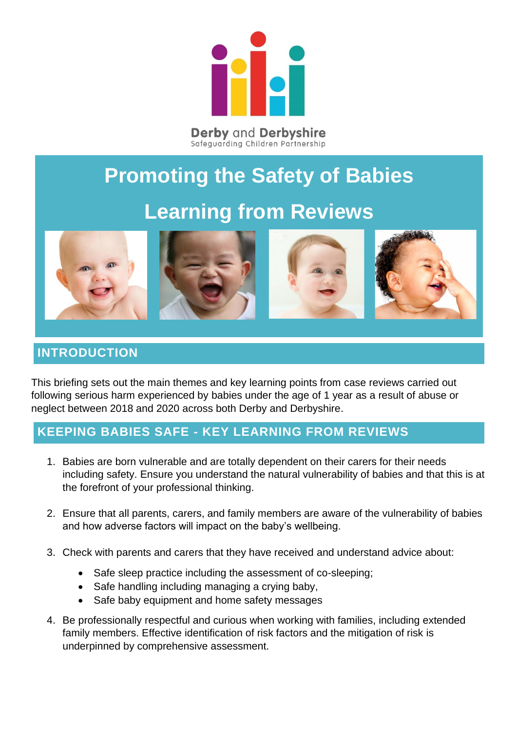

## **Promoting the Safety of Babies Learning from Reviews**



## **INTRODUCTION**

This briefing sets out the main themes and key learning points from case reviews carried out following serious harm experienced by babies under the age of 1 year as a result of abuse or neglect between 2018 and 2020 across both Derby and Derbyshire.

## **KEEPING BABIES SAFE - KEY LEARNING FROM REVIEWS**

- 1. Babies are born vulnerable and are totally dependent on their carers for their needs including safety. Ensure you understand the natural vulnerability of babies and that this is at the forefront of your professional thinking.
- 2. Ensure that all parents, carers, and family members are aware of the vulnerability of babies and how adverse factors will impact on the baby's wellbeing.
- 3. Check with parents and carers that they have received and understand advice about:
	- Safe sleep practice including the assessment of co-sleeping;
	- Safe handling including managing a crying baby.
	- Safe baby equipment and home safety messages
- 4. Be professionally respectful and curious when working with families, including extended family members. Effective identification of risk factors and the mitigation of risk is underpinned by comprehensive assessment.